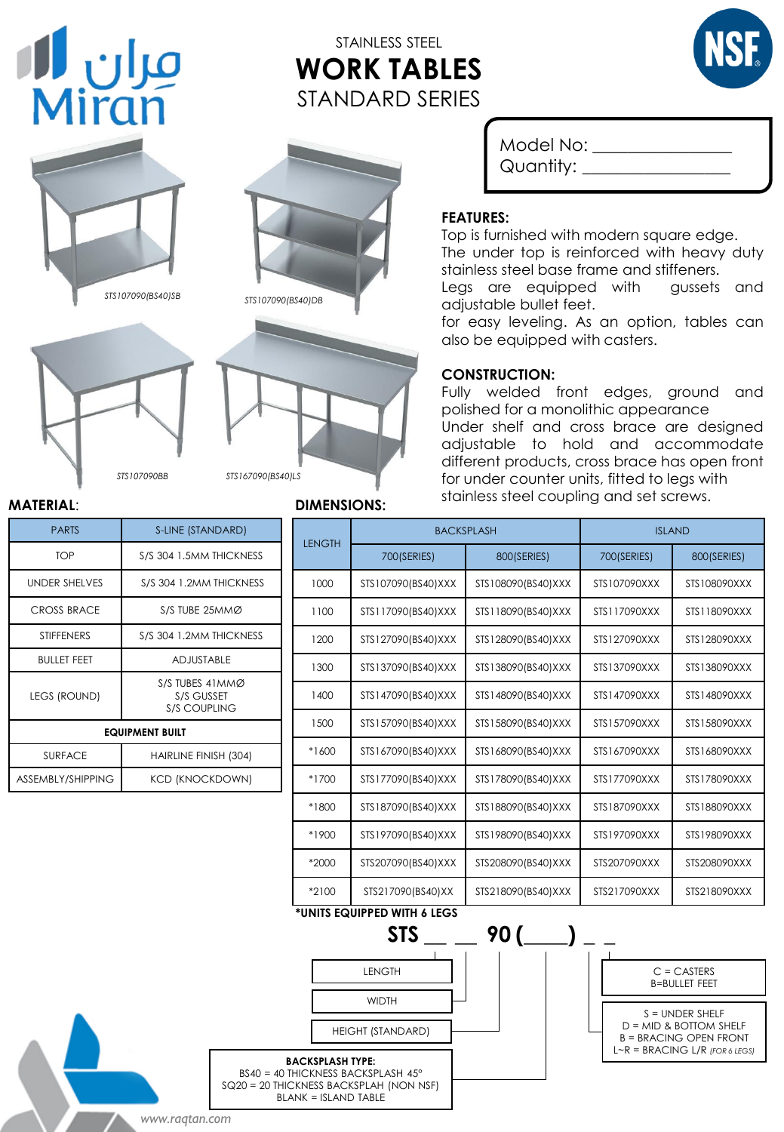# مران **ال**<br>Miran

# STAINLESS STEEL **WORK TABLES**  STANDARD SERIES









Model No: \_\_\_\_\_\_\_\_\_\_\_\_\_\_\_\_ Quantity: \_\_\_\_\_\_\_\_\_\_\_\_\_\_\_\_\_

#### **FEATURES:**

Top is furnished with modern square edge. The under top is reinforced with heavy duty stainless steel base frame and stiffeners.

Legs are equipped with gussets and adjustable bullet feet.

for easy leveling. As an option, tables can also be equipped with casters.

#### **CONSTRUCTION:**

Fully welded front edges, ground and polished for a monolithic appearance Under shelf and cross brace are designed adjustable to hold and accommodate different products, cross brace has open front for under counter units, fitted to legs with stainless steel coupling and set screws.

#### **MATERIAL**:

| <b>PARTS</b>           | S-LINE (STANDARD)                                    |  |  |  |
|------------------------|------------------------------------------------------|--|--|--|
| <b>TOP</b>             | S/S 304 1.5MM THICKNESS                              |  |  |  |
| <b>UNDER SHELVES</b>   | S/S 304 1.2MM THICKNESS                              |  |  |  |
| CROSS BRACE            | S/S TUBE 25MMØ                                       |  |  |  |
| <b>STIFFENERS</b>      | S/S 304 1.2MM THICKNESS                              |  |  |  |
| <b>BULLET FEET</b>     | <b>ADJUSTABLE</b>                                    |  |  |  |
| <b>LEGS (ROUND)</b>    | S/S TUBES 41MMØ<br>S/S GUSSET<br><b>S/S COUPLING</b> |  |  |  |
| <b>EQUIPMENT BUILT</b> |                                                      |  |  |  |
| <b>SURFACE</b>         | HAIRLINE FINISH (304)                                |  |  |  |
| ASSEMBLY/SHIPPING      | KCD (KNOCKDOWN)                                      |  |  |  |

*STS107090BB*

### **DIMENSIONS:**

| ARD)                                                                                                        |                                                        | <b>BACKSPLASH</b>                                                             |                    | <b>ISLAND</b> |                                                                                |
|-------------------------------------------------------------------------------------------------------------|--------------------------------------------------------|-------------------------------------------------------------------------------|--------------------|---------------|--------------------------------------------------------------------------------|
| <b>IICKNESS</b>                                                                                             | <b>LENGTH</b>                                          | 700(SERIES)                                                                   | 800(SERIES)        | 700(SERIES)   | 800(SERIES)                                                                    |
| HICKNESS                                                                                                    | 1000                                                   | STS107090(BS40)XXX                                                            | STS108090(BS40)XXX | STS107090XXX  | STS108090XXX                                                                   |
| 1MØ                                                                                                         | 1100                                                   | STS117090(BS40)XXX                                                            | STS118090(BS40)XXX | STS117090XXX  | STS118090XXX                                                                   |
| <b>IICKNESS</b>                                                                                             | 1200                                                   | STS127090(BS40)XXX                                                            | STS128090(BS40)XXX | STS127090XXX  | STS128090XXX                                                                   |
| LE                                                                                                          | 1300                                                   | STS137090(BS40)XXX                                                            | STS138090(BS40)XXX | STS137090XXX  | STS138090XXX                                                                   |
| им∅<br>ΞT<br>ΝG                                                                                             | 1400                                                   | STS147090(BS40)XXX                                                            | STS148090(BS40)XXX | STS147090XXX  | STS148090XXX                                                                   |
|                                                                                                             | 1500                                                   | STS157090(BS40)XXX                                                            | STS158090(BS40)XXX | STS157090XXX  | STS158090XXX                                                                   |
| H(304)                                                                                                      | *1600                                                  | STS167090(BS40)XXX                                                            | STS168090(BS40)XXX | STS167090XXX  | STS168090XXX                                                                   |
| (MWO                                                                                                        | *1700                                                  | STS177090(BS40)XXX                                                            | STS178090(BS40)XXX | STS177090XXX  | STS178090XXX                                                                   |
|                                                                                                             | *1800                                                  | STS187090(BS40)XXX                                                            | STS188090(BS40)XXX | STS187090XXX  | STS188090XXX                                                                   |
|                                                                                                             | *1900                                                  | STS197090(BS40)XXX                                                            | STS198090(BS40)XXX | STS197090XXX  | STS198090XXX                                                                   |
|                                                                                                             | *2000                                                  | STS207090(BS40)XXX                                                            | STS208090(BS40)XXX | STS207090XXX  | STS208090XXX                                                                   |
|                                                                                                             | *2100                                                  | STS217090(BS40)XX                                                             | STS218090(BS40)XXX | STS217090XXX  | STS218090XXX                                                                   |
| *UNITS EQUIPPED WITH 6 LEGS<br><b>STS</b><br>90 (<br><b>LENGTH</b><br>$C = CASTERS$<br><b>B=BULLET FEET</b> |                                                        |                                                                               |                    |               |                                                                                |
|                                                                                                             | <b>WIDTH</b><br><b>HEIGHT (STANDARD)</b>               |                                                                               |                    |               | $S =$ UNDER SHELF<br>$D = MID$ & BOTTOM SHELF<br><b>B = BRACING OPEN FRONT</b> |
|                                                                                                             | <b>BACKSPLASH TYPE:</b><br><b>BLANK = ISLAND TABLE</b> | BS40 = 40 THICKNESS BACKSPLASH 45°<br>SQ20 = 20 THICKNESS BACKSPLAH (NON NSF) |                    |               | $L \sim R = BRACING L/R$ (FOR 6 LEGS)                                          |

*www.raqtan.com*